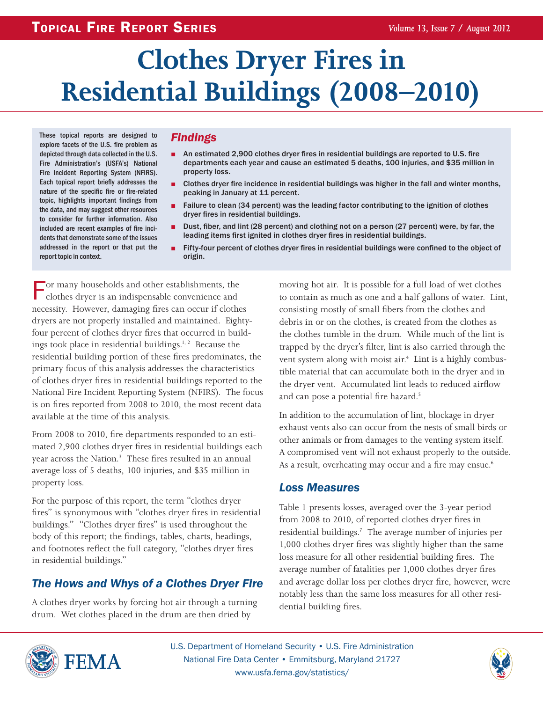# **Clothes Dryer Fires in Residential Buildings (2008–2010)**

These topical reports are designed to explore facets of the U.S. fire problem as depicted through data collected in the U.S. Fire Administration's (USFA's) National Fire Incident Reporting System (NFIRS). Each topical report briefly addresses the nature of the specific fire or fire-related topic, highlights important findings from the data, and may suggest other resources to consider for further information. Also included are recent examples of fire incidents that demonstrate some of the issues addressed in the report or that put the report topic in context.

## *Findings*

- An estimated 2,900 clothes dryer fires in residential buildings are reported to U.S. fire departments each year and cause an estimated 5 deaths, 100 injuries, and \$35 million in property loss.
- Clothes dryer fire incidence in residential buildings was higher in the fall and winter months, peaking in January at 11 percent.
- Failure to clean (34 percent) was the leading factor contributing to the ignition of clothes dryer fires in residential buildings.
- Dust, fiber, and lint (28 percent) and clothing not on a person (27 percent) were, by far, the leading items first ignited in clothes dryer fires in residential buildings.
- Fifty-four percent of clothes dryer fires in residential buildings were confined to the object of origin.

For many households and other establishments, the clothes dryer is an indispensable convenience and clothes dryer is an indispensable convenience and necessity. However, damaging fires can occur if clothes dryers are not properly installed and maintained. Eightyfour percent of clothes dryer fires that occurred in buildings took place in residential buildings.<sup>1, 2</sup> Because the residential building portion of these fires predominates, the primary focus of this analysis addresses the characteristics of clothes dryer fires in residential buildings reported to the National Fire Incident Reporting System (NFIRS). The focus is on fires reported from 2008 to 2010, the most recent data available at the time of this analysis.

From 2008 to 2010, fire departments responded to an estimated 2,900 clothes dryer fires in residential buildings each year across the Nation.<sup>3</sup> These fires resulted in an annual average loss of 5 deaths, 100 injuries, and \$35 million in property loss.

For the purpose of this report, the term "clothes dryer fires" is synonymous with "clothes dryer fires in residential buildings." "Clothes dryer fires" is used throughout the body of this report; the findings, tables, charts, headings, and footnotes reflect the full category, "clothes dryer fires in residential buildings."

## *The Hows and Whys of a Clothes Dryer Fire*

A clothes dryer works by forcing hot air through a turning drum. Wet clothes placed in the drum are then dried by

moving hot air. It is possible for a full load of wet clothes to contain as much as one and a half gallons of water. Lint, consisting mostly of small fibers from the clothes and debris in or on the clothes, is created from the clothes as the clothes tumble in the drum. While much of the lint is trapped by the dryer's filter, lint is also carried through the vent system along with moist air.<sup>4</sup> Lint is a highly combustible material that can accumulate both in the dryer and in the dryer vent. Accumulated lint leads to reduced airflow and can pose a potential fire hazard.<sup>5</sup>

In addition to the accumulation of lint, blockage in dryer exhaust vents also can occur from the nests of small birds or other animals or from damages to the venting system itself. A compromised vent will not exhaust properly to the outside. As a result, overheating may occur and a fire may ensue.<sup>6</sup>

## *Loss Measures*

Table 1 presents losses, averaged over the 3-year period from 2008 to 2010, of reported clothes dryer fires in residential buildings.<sup>7</sup> The average number of injuries per 1,000 clothes dryer fires was slightly higher than the same loss measure for all other residential building fires. The average number of fatalities per 1,000 clothes dryer fires and average dollar loss per clothes dryer fire, however, were notably less than the same loss measures for all other residential building fires.



U.S. Department of Homeland Security • U.S. Fire Administration National Fire Data Center • Emmitsburg, Maryland 21727 www.usfa.fema.gov/statistics/

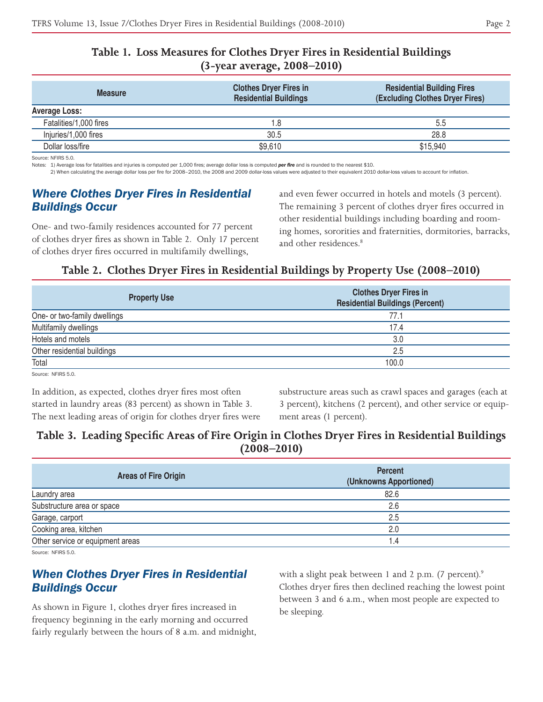## **Table 1. Loss Measures for Clothes Dryer Fires in Residential Buildings (3-year average, 2008–2010)**

| <b>Measure</b>         | <b>Clothes Dryer Fires in</b><br><b>Residential Buildings</b> | <b>Residential Building Fires</b><br>(Excluding Clothes Dryer Fires) |  |
|------------------------|---------------------------------------------------------------|----------------------------------------------------------------------|--|
| <b>Average Loss:</b>   |                                                               |                                                                      |  |
| Fatalities/1,000 fires | 1.8                                                           | 5.5                                                                  |  |
| Injuries/1,000 fires   | 30.5                                                          | 28.8                                                                 |  |
| Dollar loss/fire       | \$9,610                                                       | \$15,940                                                             |  |

Source: NFIRS 5.0.

Notes: 1) Average loss for fatalities and injuries is computed per 1,000 fires; average dollar loss is computed **per fire** and is rounded to the nearest \$10.<br>(a) When calculating the average dollar loss per fire for 2008

## *Where Clothes Dryer Fires in Residential Buildings Occur*

One- and two-family residences accounted for 77 percent of clothes dryer fires as shown in Table 2. Only 17 percent of clothes dryer fires occurred in multifamily dwellings,

and even fewer occurred in hotels and motels (3 percent). The remaining 3 percent of clothes dryer fires occurred in other residential buildings including boarding and rooming homes, sororities and fraternities, dormitories, barracks, and other residences.<sup>8</sup>

## **Table 2. Clothes Dryer Fires in Residential Buildings by Property Use (2008–2010)**

| <b>Property Use</b>          | <b>Clothes Dryer Fires in</b><br><b>Residential Buildings (Percent)</b> |
|------------------------------|-------------------------------------------------------------------------|
| One- or two-family dwellings | 77.1                                                                    |
| Multifamily dwellings        | 17.4                                                                    |
| Hotels and motels            | 3.0                                                                     |
| Other residential buildings  | 2.5                                                                     |
| Total                        | 100.0                                                                   |

Source: NFIRS 5.0.

In addition, as expected, clothes dryer fires most often started in laundry areas (83 percent) as shown in Table 3. The next leading areas of origin for clothes dryer fires were substructure areas such as crawl spaces and garages (each at 3 percent), kitchens (2 percent), and other service or equipment areas (1 percent).

## **Table 3. Leading Speciic Areas of Fire Origin in Clothes Dryer Fires in Residential Buildings (2008–2010)**

| <b>Areas of Fire Origin</b>      | <b>Percent</b><br>(Unknowns Apportioned) |
|----------------------------------|------------------------------------------|
| Laundry area                     | 82.6                                     |
| Substructure area or space       | 2.6                                      |
| Garage, carport                  | 2.5                                      |
| Cooking area, kitchen            | 2.0                                      |
| Other service or equipment areas | 1.4                                      |
| ___________                      |                                          |

Source: NFIRS 5.0.

## *When Clothes Dryer Fires in Residential Buildings Occur*

As shown in Figure 1, clothes dryer fires increased in frequency beginning in the early morning and occurred fairly regularly between the hours of 8 a.m. and midnight,

with a slight peak between 1 and 2 p.m. (7 percent).<sup>9</sup> Clothes dryer fires then declined reaching the lowest point between 3 and 6 a.m., when most people are expected to be sleeping.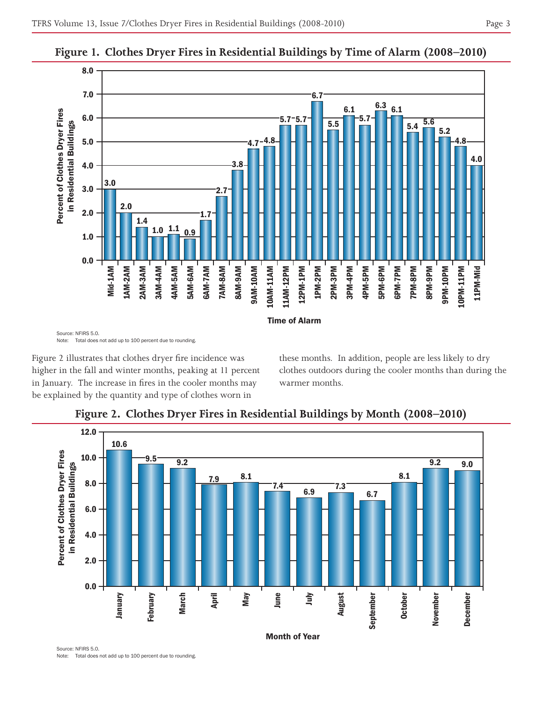



Figure 2 illustrates that clothes dryer fire incidence was higher in the fall and winter months, peaking at 11 percent in January. The increase in fires in the cooler months may be explained by the quantity and type of clothes worn in

these months. In addition, people are less likely to dry clothes outdoors during the cooler months than during the warmer months.



**Figure 2. Clothes Dryer Fires in Residential Buildings by Month (2008–2010)**

Source: NFIRS 5.0.

Note: Total does not add up to 100 percent due to rounding.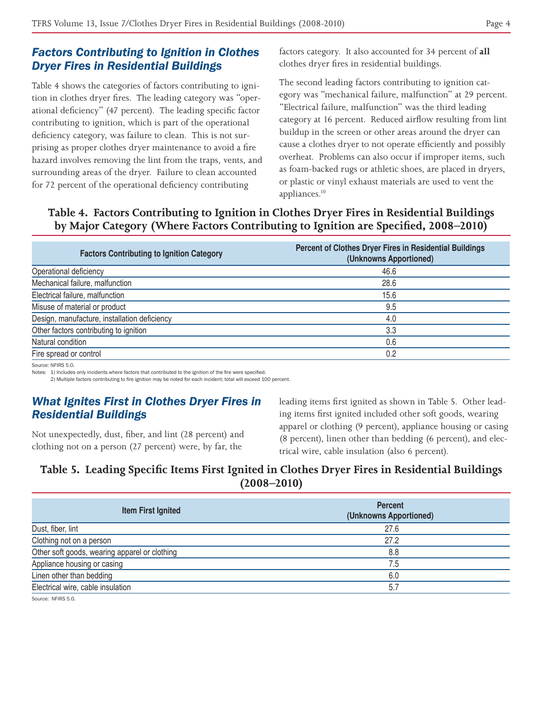## *Factors Contributing to Ignition in Clothes Dryer Fires in Residential Buildings*

Table 4 shows the categories of factors contributing to ignition in clothes dryer fires. The leading category was "operational deficiency" (47 percent). The leading specific factor contributing to ignition, which is part of the operational deficiency category, was failure to clean. This is not surprising as proper clothes dryer maintenance to avoid a fire hazard involves removing the lint from the traps, vents, and surrounding areas of the dryer. Failure to clean accounted for 72 percent of the operational deficiency contributing

factors category. It also accounted for 34 percent of **all** clothes dryer fires in residential buildings.

The second leading factors contributing to ignition category was "mechanical failure, malfunction" at 29 percent. "Electrical failure, malfunction" was the third leading category at 16 percent. Reduced airflow resulting from lint buildup in the screen or other areas around the dryer can cause a clothes dryer to not operate efficiently and possibly overheat. Problems can also occur if improper items, such as foam-backed rugs or athletic shoes, are placed in dryers, or plastic or vinyl exhaust materials are used to vent the appliances.<sup>10</sup>

## **Table 4. Factors Contributing to Ignition in Clothes Dryer Fires in Residential Buildings by Major Category (Where Factors Contributing to Ignition are Speciied, 2008–2010)**

| <b>Factors Contributing to Ignition Category</b> | Percent of Clothes Dryer Fires in Residential Buildings<br>(Unknowns Apportioned) |
|--------------------------------------------------|-----------------------------------------------------------------------------------|
| Operational deficiency                           | 46.6                                                                              |
| Mechanical failure, malfunction                  | 28.6                                                                              |
| Electrical failure, malfunction                  | 15.6                                                                              |
| Misuse of material or product                    | 9.5                                                                               |
| Design, manufacture, installation deficiency     | 4.0                                                                               |
| Other factors contributing to ignition           | 3.3                                                                               |
| Natural condition                                | 0.6                                                                               |
| Fire spread or control                           | 0.2                                                                               |
| $\sim$ $\cdots$                                  |                                                                                   |

Source: NFIRS 5.0.

Notes: 1) Includes only incidents where factors that contributed to the ignition of the fire were specified.

2) Multiple factors contributing to fire ignition may be noted for each incident; total will exceed 100 percent.

## *What Ignites First in Clothes Dryer Fires in Residential Buildings*

Not unexpectedly, dust, fiber, and lint (28 percent) and clothing not on a person (27 percent) were, by far, the

leading items first ignited as shown in Table 5. Other leading items first ignited included other soft goods, wearing apparel or clothing (9 percent), appliance housing or casing (8 percent), linen other than bedding (6 percent), and electrical wire, cable insulation (also 6 percent).

## **Table 5. Leading Speciic Items First Ignited in Clothes Dryer Fires in Residential Buildings (2008–2010)**

| <b>Item First Ignited</b>                                                | <b>Percent</b><br>(Unknowns Apportioned) |
|--------------------------------------------------------------------------|------------------------------------------|
| Dust, fiber, lint                                                        | 27.6                                     |
| Clothing not on a person                                                 | 27.2                                     |
| Other soft goods, wearing apparel or clothing                            | 8.8                                      |
| Appliance housing or casing                                              | 7.5                                      |
| Linen other than bedding                                                 | 6.0                                      |
| Electrical wire, cable insulation                                        | 5.7                                      |
| $C$ <sub>2</sub> , $\ldots$ $\ldots$ $\ldots$ $\ldots$ $\ldots$ $\ldots$ |                                          |

Source: NFIRS 5.0.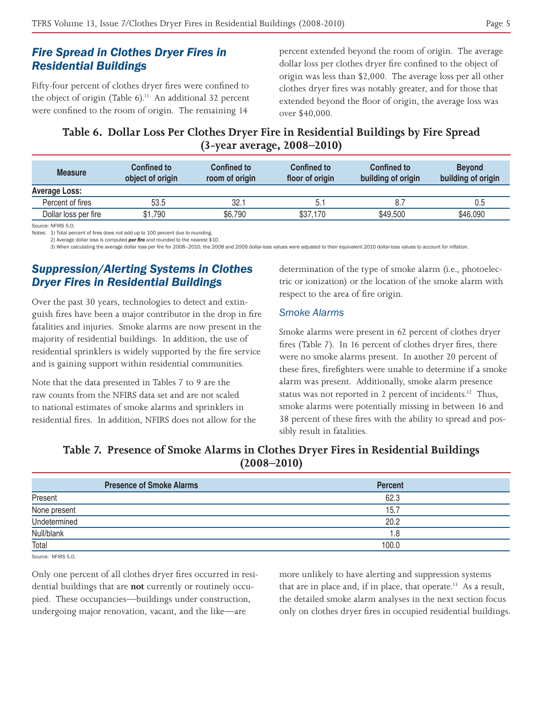#### *Fire Spread in Clothes Dryer Fires in Residential Buildings*

Fifty-four percent of clothes dryer fires were confined to the object of origin (Table 6).<sup>11</sup> An additional 32 percent were confined to the room of origin. The remaining 14

percent extended beyond the room of origin. The average dollar loss per clothes dryer fire confined to the object of origin was less than \$2,000. The average loss per all other clothes dryer fires was notably greater, and for those that extended beyond the floor of origin, the average loss was over \$40,000.

## **Table 6. Dollar Loss Per Clothes Dryer Fire in Residential Buildings by Fire Spread (3-year average, 2008–2010)**

| <b>Measure</b>       | <b>Confined to</b><br>object of origin | <b>Confined to</b><br>room of origin | <b>Confined to</b><br>floor of origin | <b>Confined to</b><br>building of origin | <b>Bevond</b><br>building of origin |
|----------------------|----------------------------------------|--------------------------------------|---------------------------------------|------------------------------------------|-------------------------------------|
| <b>Average Loss:</b> |                                        |                                      |                                       |                                          |                                     |
| Percent of fires     | 53.5                                   | 32.1                                 | 5.1                                   | -8.7                                     | 0.5                                 |
| Dollar loss per fire | \$1,790                                | \$6,790                              | \$37,170                              | \$49,500                                 | \$46,090                            |

Source: NFIRS 5.0.

Notes: 1) Total percent of fires does not add up to 100 percent due to rounding.

2) Average dollar loss is computed *per fire* and rounded to the nearest \$10.

3) When calculating the average dollar loss per ire for 2008–2010, the 2008 and 2009 dollar-loss values were adjusted to their equivalent 2010 dollar-loss values to account for inlation.

## *Suppression/Alerting Systems in Clothes Dryer Fires in Residential Buildings*

Over the past 30 years, technologies to detect and extinguish fires have been a major contributor in the drop in fire fatalities and injuries. Smoke alarms are now present in the majority of residential buildings. In addition, the use of residential sprinklers is widely supported by the fire service and is gaining support within residential communities.

Note that the data presented in Tables 7 to 9 are the raw counts from the NFIRS data set and are not scaled to national estimates of smoke alarms and sprinklers in residential fires. In addition, NFIRS does not allow for the determination of the type of smoke alarm (i.e., photoelectric or ionization) or the location of the smoke alarm with respect to the area of fire origin.

#### *Smoke Alarms*

Smoke alarms were present in 62 percent of clothes dryer fires (Table 7). In 16 percent of clothes dryer fires, there were no smoke alarms present. In another 20 percent of these fires, firefighters were unable to determine if a smoke alarm was present. Additionally, smoke alarm presence status was not reported in 2 percent of incidents.<sup>12</sup> Thus, smoke alarms were potentially missing in between 16 and 38 percent of these fires with the ability to spread and possibly result in fatalities.

| Table 7. Presence of Smoke Alarms in Clothes Dryer Fires in Residential Buildings |
|-----------------------------------------------------------------------------------|
| $(2008 - 2010)$                                                                   |

| <b>Presence of Smoke Alarms</b> | <b>Percent</b> |
|---------------------------------|----------------|
| Present                         | 62.3           |
| None present                    | 15.7           |
| Undetermined                    | 20.2           |
| Null/blank                      | 1.8            |
| Total                           | 100.0          |

Source: NFIRS 5.0.

Only one percent of all clothes dryer fires occurred in residential buildings that are **not** currently or routinely occupied. These occupancies—buildings under construction, undergoing major renovation, vacant, and the like—are

more unlikely to have alerting and suppression systems that are in place and, if in place, that operate.<sup>13</sup> As a result, the detailed smoke alarm analyses in the next section focus only on clothes dryer fires in occupied residential buildings.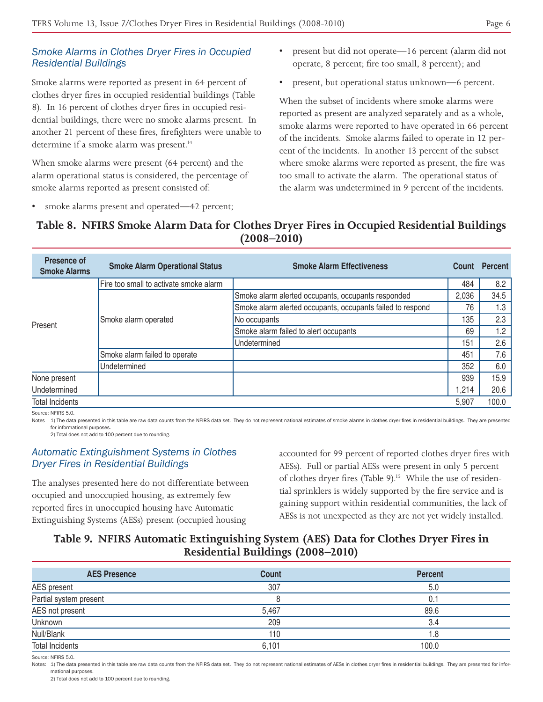#### *Smoke Alarms in Clothes Dryer Fires in Occupied Residential Buildings*

Smoke alarms were reported as present in 64 percent of clothes dryer fires in occupied residential buildings (Table 8). In 16 percent of clothes dryer fires in occupied residential buildings, there were no smoke alarms present. In another 21 percent of these fires, firefighters were unable to determine if a smoke alarm was present.<sup>14</sup>

When smoke alarms were present (64 percent) and the alarm operational status is considered, the percentage of smoke alarms reported as present consisted of:

smoke alarms present and operated—42 percent;

- present but did not operate—16 percent (alarm did not operate, 8 percent; fire too small, 8 percent); and
- present, but operational status unknown—6 percent.

When the subset of incidents where smoke alarms were reported as present are analyzed separately and as a whole, smoke alarms were reported to have operated in 66 percent of the incidents. Smoke alarms failed to operate in 12 percent of the incidents. In another 13 percent of the subset where smoke alarms were reported as present, the fire was too small to activate the alarm. The operational status of the alarm was undetermined in 9 percent of the incidents.

## **Table 8. NFIRS Smoke Alarm Data for Clothes Dryer Fires in Occupied Residential Buildings (2008–2010)**

| Presence of<br><b>Smoke Alarms</b> | <b>Smoke Alarm Operational Status</b>  | <b>Smoke Alarm Effectiveness</b>                           | Count | <b>Percent</b> |
|------------------------------------|----------------------------------------|------------------------------------------------------------|-------|----------------|
| Present                            | Fire too small to activate smoke alarm |                                                            | 484   | 8.2            |
|                                    | Smoke alarm operated                   | Smoke alarm alerted occupants, occupants responded         | 2,036 | 34.5           |
|                                    |                                        | Smoke alarm alerted occupants, occupants failed to respond | 76    | 1.3            |
|                                    |                                        | No occupants                                               | 135   | 2.3            |
|                                    |                                        | Smoke alarm failed to alert occupants                      | 69    | 1.2            |
|                                    |                                        | Undetermined                                               | 151   | 2.6            |
|                                    | Smoke alarm failed to operate          |                                                            | 451   | 7.6            |
|                                    | Undetermined                           |                                                            | 352   | 6.0            |
| None present                       |                                        |                                                            | 939   | 15.9           |
| Undetermined                       |                                        |                                                            | 1,214 | 20.6           |
| <b>Total Incidents</b>             |                                        |                                                            | 5,907 | 100.0          |

Source: NEIRS 5.0.

Notes 1) The data presented in this table are raw data counts from the NFIRS data set. They do not represent national estimates of smoke alarms in clothes dryer fires in residential buildings. They are presented for informational purposes.

2) Total does not add to 100 percent due to rounding.

#### *Automatic Extinguishment Systems in Clothes Dryer Fires in Residential Buildings*

The analyses presented here do not differentiate between occupied and unoccupied housing, as extremely few reported fires in unoccupied housing have Automatic Extinguishing Systems (AESs) present (occupied housing

accounted for 99 percent of reported clothes dryer fires with AESs). Full or partial AESs were present in only 5 percent of clothes dryer fires (Table 9).<sup>15</sup> While the use of residential sprinklers is widely supported by the fire service and is gaining support within residential communities, the lack of AESs is not unexpected as they are not yet widely installed.

## **Table 9. NFIRS Automatic Extinguishing System (AES) Data for Clothes Dryer Fires in Residential Buildings (2008–2010)**

| <b>AES Presence</b>    | <b>Count</b> | <b>Percent</b> |
|------------------------|--------------|----------------|
| AES present            | 307          | 5.0            |
| Partial system present |              | 0.1            |
| AES not present        | 5,467        | 89.6           |
| Unknown                | 209          | 3.4            |
| Null/Blank             | 110          | 1.8            |
| <b>Total Incidents</b> | 6,101        | 100.0          |

Source: NFIRS 5.0.

Notes: 1) The data presented in this table are raw data counts from the NFIRS data set. They do not represent national estimates of AESs in clothes dryer fires in residential buildings. They are presented for informational purposes.

2) Total does not add to 100 percent due to rounding.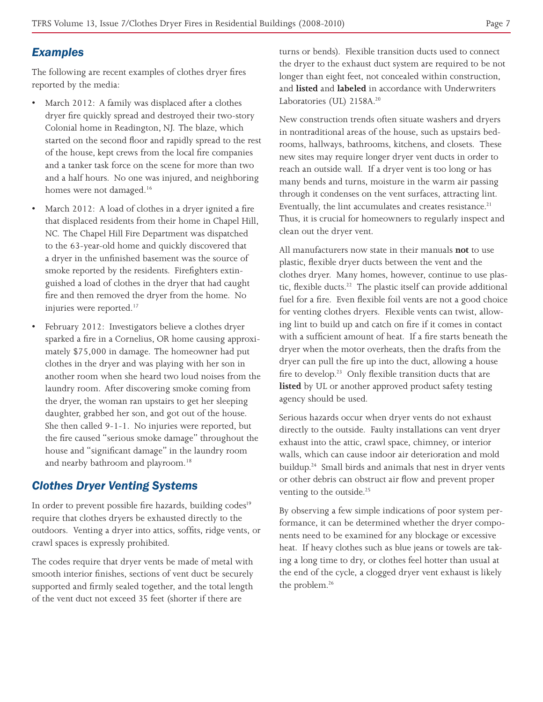#### *Examples*

The following are recent examples of clothes dryer fires reported by the media:

- March 2012: A family was displaced after a clothes dryer fire quickly spread and destroyed their two-story Colonial home in Readington, NJ. The blaze, which started on the second floor and rapidly spread to the rest of the house, kept crews from the local fire companies and a tanker task force on the scene for more than two and a half hours. No one was injured, and neighboring homes were not damaged.<sup>16</sup>
- March 2012: A load of clothes in a dryer ignited a fire that displaced residents from their home in Chapel Hill, NC. The Chapel Hill Fire Department was dispatched to the 63-year-old home and quickly discovered that a dryer in the unfinished basement was the source of smoke reported by the residents. Firefighters extinguished a load of clothes in the dryer that had caught fire and then removed the dryer from the home. No injuries were reported.<sup>17</sup>
- February 2012: Investigators believe a clothes dryer sparked a fire in a Cornelius, OR home causing approximately \$75,000 in damage. The homeowner had put clothes in the dryer and was playing with her son in another room when she heard two loud noises from the laundry room. After discovering smoke coming from the dryer, the woman ran upstairs to get her sleeping daughter, grabbed her son, and got out of the house. She then called 9-1-1. No injuries were reported, but the fire caused "serious smoke damage" throughout the house and "significant damage" in the laundry room and nearby bathroom and playroom.<sup>18</sup>

## *Clothes Dryer Venting Systems*

In order to prevent possible fire hazards, building codes<sup>19</sup> require that clothes dryers be exhausted directly to the outdoors. Venting a dryer into attics, soffits, ridge vents, or crawl spaces is expressly prohibited.

The codes require that dryer vents be made of metal with smooth interior finishes, sections of vent duct be securely supported and firmly sealed together, and the total length of the vent duct not exceed 35 feet (shorter if there are

turns or bends). Flexible transition ducts used to connect the dryer to the exhaust duct system are required to be not longer than eight feet, not concealed within construction, and **listed** and **labeled** in accordance with Underwriters Laboratories (UL) 2158A.<sup>20</sup>

New construction trends often situate washers and dryers in nontraditional areas of the house, such as upstairs bedrooms, hallways, bathrooms, kitchens, and closets. These new sites may require longer dryer vent ducts in order to reach an outside wall. If a dryer vent is too long or has many bends and turns, moisture in the warm air passing through it condenses on the vent surfaces, attracting lint. Eventually, the lint accumulates and creates resistance.<sup>21</sup> Thus, it is crucial for homeowners to regularly inspect and clean out the dryer vent.

All manufacturers now state in their manuals **not** to use plastic, flexible dryer ducts between the vent and the clothes dryer. Many homes, however, continue to use plastic, flexible ducts.<sup>22</sup> The plastic itself can provide additional fuel for a fire. Even flexible foil vents are not a good choice for venting clothes dryers. Flexible vents can twist, allowing lint to build up and catch on fire if it comes in contact with a sufficient amount of heat. If a fire starts beneath the dryer when the motor overheats, then the drafts from the dryer can pull the fire up into the duct, allowing a house fire to develop.<sup>23</sup> Only flexible transition ducts that are **listed** by UL or another approved product safety testing agency should be used.

Serious hazards occur when dryer vents do not exhaust directly to the outside. Faulty installations can vent dryer exhaust into the attic, crawl space, chimney, or interior walls, which can cause indoor air deterioration and mold buildup.<sup>24</sup> Small birds and animals that nest in dryer vents or other debris can obstruct air flow and prevent proper venting to the outside.<sup>25</sup>

By observing a few simple indications of poor system performance, it can be determined whether the dryer components need to be examined for any blockage or excessive heat. If heavy clothes such as blue jeans or towels are taking a long time to dry, or clothes feel hotter than usual at the end of the cycle, a clogged dryer vent exhaust is likely the problem.<sup>26</sup>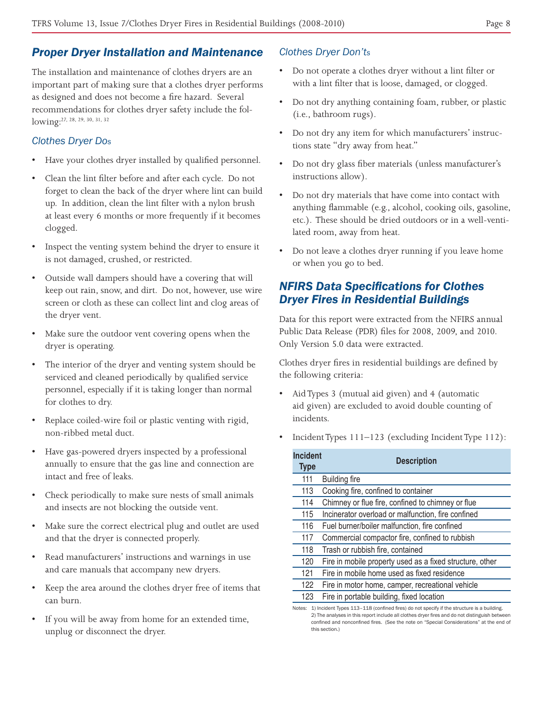## *Proper Dryer Installation and Maintenance*

The installation and maintenance of clothes dryers are an important part of making sure that a clothes dryer performs as designed and does not become a fire hazard. Several recommendations for clothes dryer safety include the following:27, 28, 29, 30, 31, 32

## *Clothes Dryer Dos*

- Have your clothes dryer installed by qualified personnel.
- Clean the lint filter before and after each cycle. Do not forget to clean the back of the dryer where lint can build up. In addition, clean the lint filter with a nylon brush at least every 6 months or more frequently if it becomes clogged.
- Inspect the venting system behind the dryer to ensure it is not damaged, crushed, or restricted.
- Outside wall dampers should have a covering that will keep out rain, snow, and dirt. Do not, however, use wire screen or cloth as these can collect lint and clog areas of the dryer vent.
- Make sure the outdoor vent covering opens when the dryer is operating.
- The interior of the dryer and venting system should be serviced and cleaned periodically by qualified service personnel, especially if it is taking longer than normal for clothes to dry.
- Replace coiled-wire foil or plastic venting with rigid, non-ribbed metal duct.
- • Have gas-powered dryers inspected by a professional annually to ensure that the gas line and connection are intact and free of leaks.
- Check periodically to make sure nests of small animals and insects are not blocking the outside vent.
- Make sure the correct electrical plug and outlet are used and that the dryer is connected properly.
- Read manufacturers' instructions and warnings in use and care manuals that accompany new dryers.
- • Keep the area around the clothes dryer free of items that can burn.
- • If you will be away from home for an extended time, unplug or disconnect the dryer.

## *Clothes Dryer Don'ts*

- Do not operate a clothes dryer without a lint filter or with a lint filter that is loose, damaged, or clogged.
- • Do not dry anything containing foam, rubber, or plastic (i.e., bathroom rugs).
- Do not dry any item for which manufacturers' instructions state "dry away from heat."
- Do not dry glass fiber materials (unless manufacturer's instructions allow).
- • Do not dry materials that have come into contact with anything flammable (e.g., alcohol, cooking oils, gasoline, etc.). These should be dried outdoors or in a well-ventilated room, away from heat.
- • Do not leave a clothes dryer running if you leave home or when you go to bed.

## *NFIRS Data Speciications for Clothes Dryer Fires in Residential Buildings*

Data for this report were extracted from the NFIRS annual Public Data Release (PDR) files for 2008, 2009, and 2010. Only Version 5.0 data were extracted.

Clothes dryer fires in residential buildings are defined by the following criteria:

- • Aid Types 3 (mutual aid given) and 4 (automatic aid given) are excluded to avoid double counting of incidents.
- Incident Types  $111-123$  (excluding Incident Type  $112$ ):

| <b>Incident</b><br><b>Description</b><br>Type         |                                                          |  |
|-------------------------------------------------------|----------------------------------------------------------|--|
| 111                                                   | <b>Building fire</b>                                     |  |
| 113                                                   | Cooking fire, confined to container                      |  |
| 114                                                   | Chimney or flue fire, confined to chimney or flue        |  |
| 115                                                   | Incinerator overload or malfunction, fire confined       |  |
| 116                                                   | Fuel burner/boiler malfunction, fire confined            |  |
| Commercial compactor fire, confined to rubbish<br>117 |                                                          |  |
| 118                                                   | Trash or rubbish fire, contained                         |  |
| 120                                                   | Fire in mobile property used as a fixed structure, other |  |
| 121                                                   | Fire in mobile home used as fixed residence              |  |
| 122                                                   | Fire in motor home, camper, recreational vehicle         |  |
| 123                                                   | Fire in portable building, fixed location                |  |

Notes: 1) Incident Types 113-118 (confined fires) do not specify if the structure is a building. 2) The analyses in this report include all clothes dryer ires and do not distinguish between confined and nonconfined fires. (See the note on "Special Considerations" at the end of this section.)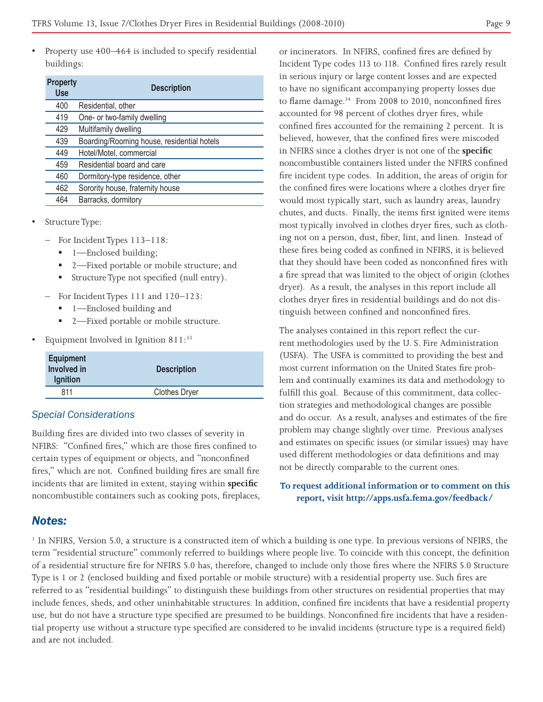Property use 400–464 is included to specify residential buildings:

| <b>Property</b><br><b>Use</b> | <b>Description</b>                         |
|-------------------------------|--------------------------------------------|
| 400                           | Residential, other                         |
| 419                           | One- or two-family dwelling                |
| 429                           | Multifamily dwelling                       |
| 439                           | Boarding/Rooming house, residential hotels |
| 449                           | Hotel/Motel, commercial                    |
| 459                           | Residential board and care                 |
| 460                           | Dormitory-type residence, other            |
| 462                           | Sorority house, fraternity house           |
| 464                           | Barracks, dormitory                        |

- Structure Type:
	- For Incident Types 113–118:
		- 1—Enclosed building;
		- 2-Fixed portable or mobile structure; and
		- Structure Type not specified (null entry).
	- For Incident Types 111 and 120–123:
		- 1—Enclosed building and
		- 2—Fixed portable or mobile structure.
- Equipment Involved in Ignition 811:<sup>33</sup>

| <b>Equipment</b><br>Involved in<br><b>Ignition</b> | <b>Description</b>   |
|----------------------------------------------------|----------------------|
| 811                                                | <b>Clothes Dryer</b> |
|                                                    |                      |

#### *Special Considerations*

Building fires are divided into two classes of severity in NFIRS: "Confined fires," which are those fires confined to certain types of equipment or objects, and "nonconfined fires," which are not. Confined building fires are small fire incidents that are limited in extent, staying within **specific** noncombustible containers such as cooking pots, fireplaces,

### *Notes:*

or incinerators. In NFIRS, confined fires are defined by Incident Type codes 113 to 118. Confined fires rarely result in serious injury or large content losses and are expected to have no significant accompanying property losses due to flame damage.<sup>34</sup> From 2008 to 2010, nonconfined fires accounted for 98 percent of clothes dryer fires, while confined fires accounted for the remaining 2 percent. It is believed, however, that the confined fires were miscoded in NFIRS since a clothes dryer is not one of the **specific** noncombustible containers listed under the NFIRS confined fire incident type codes. In addition, the areas of origin for the confined fires were locations where a clothes dryer fire would most typically start, such as laundry areas, laundry chutes, and ducts. Finally, the items first ignited were items most typically involved in clothes dryer fires, such as clothing not on a person, dust, fiber, lint, and linen. Instead of these fires being coded as confined in NFIRS, it is believed that they should have been coded as nonconfined fires with a fire spread that was limited to the object of origin (clothes dryer). As a result, the analyses in this report include all clothes dryer fires in residential buildings and do not distinguish between confined and nonconfined fires.

The analyses contained in this report reflect the current methodologies used by the U. S. Fire Administration (USFA). The USFA is committed to providing the best and most current information on the United States fire problem and continually examines its data and methodology to fulfill this goal. Because of this commitment, data collection strategies and methodological changes are possible and do occur. As a result, analyses and estimates of the fire problem may change slightly over time. Previous analyses and estimates on specific issues (or similar issues) may have used different methodologies or data definitions and may not be directly comparable to the current ones.

#### **To request additional information or to comment on this report, visit http://apps.usfa.fema.gov/feedback/**

<sup>1</sup> In NFIRS, Version 5.0, a structure is a constructed item of which a building is one type. In previous versions of NFIRS, the term "residential structure" commonly referred to buildings where people live. To coincide with this concept, the definition of a residential structure fire for NFIRS 5.0 has, therefore, changed to include only those fires where the NFIRS 5.0 Structure Type is 1 or 2 (enclosed building and fixed portable or mobile structure) with a residential property use. Such fires are referred to as "residential buildings" to distinguish these buildings from other structures on residential properties that may include fences, sheds, and other uninhabitable structures. In addition, confined fire incidents that have a residential property use, but do not have a structure type specified are presumed to be buildings. Nonconfined fire incidents that have a residential property use without a structure type specified are considered to be invalid incidents (structure type is a required field) and are not included.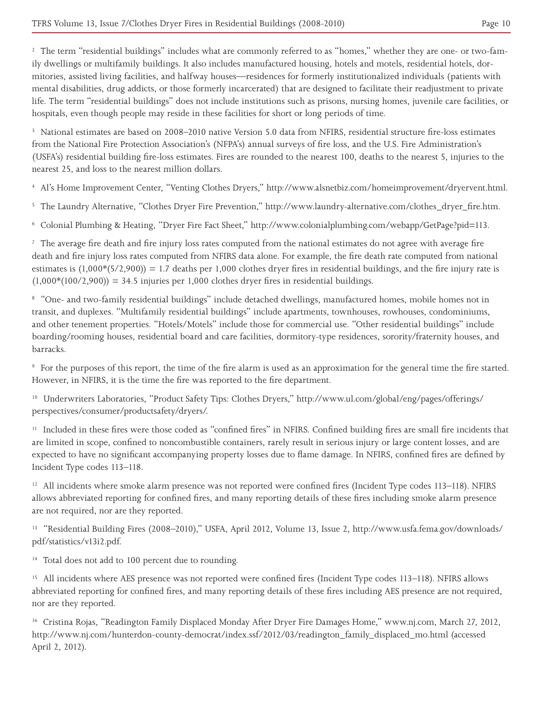<sup>2</sup> The term "residential buildings" includes what are commonly referred to as "homes," whether they are one- or two-family dwellings or multifamily buildings. It also includes manufactured housing, hotels and motels, residential hotels, dormitories, assisted living facilities, and halfway houses—residences for formerly institutionalized individuals (patients with mental disabilities, drug addicts, or those formerly incarcerated) that are designed to facilitate their readjustment to private life. The term "residential buildings" does not include institutions such as prisons, nursing homes, juvenile care facilities, or hospitals, even though people may reside in these facilities for short or long periods of time.

<sup>3</sup> National estimates are based on 2008–2010 native Version 5.0 data from NFIRS, residential structure fire-loss estimates from the National Fire Protection Association's (NFPA's) annual surveys of fire loss, and the U.S. Fire Administration's (USFA's) residential building fire-loss estimates. Fires are rounded to the nearest 100, deaths to the nearest 5, injuries to the nearest 25, and loss to the nearest million dollars.

4 Al's Home Improvement Center, "Venting Clothes Dryers," http://www.alsnetbiz.com/homeimprovement/dryervent.html.

- <sup>5</sup>The Laundry Alternative, "Clothes Dryer Fire Prevention," http://www.laundry-alternative.com/clothes\_dryer\_fire.htm.
- <sup>6</sup>Colonial Plumbing & Heating, "Dryer Fire Fact Sheet," http://www.colonialplumbing.com/webapp/GetPage?pid=113.

<sup>7</sup> The average fire death and fire injury loss rates computed from the national estimates do not agree with average fire death and fire injury loss rates computed from NFIRS data alone. For example, the fire death rate computed from national estimates is  $(1,000*(5/2,900)) = 1.7$  deaths per 1,000 clothes dryer fires in residential buildings, and the fire injury rate is  $(1,000*(100/2,900)) = 34.5$  injuries per 1,000 clothes dryer fires in residential buildings.

<sup>8</sup>"One- and two-family residential buildings" include detached dwellings, manufactured homes, mobile homes not in transit, and duplexes. "Multifamily residential buildings" include apartments, townhouses, rowhouses, condominiums, and other tenement properties. "Hotels/Motels" include those for commercial use. "Other residential buildings" include boarding/rooming houses, residential board and care facilities, dormitory-type residences, sorority/fraternity houses, and barracks.

<sup>9</sup> For the purposes of this report, the time of the fire alarm is used as an approximation for the general time the fire started. However, in NFIRS, it is the time the fire was reported to the fire department.

<sup>10</sup> Underwriters Laboratories, "Product Safety Tips: Clothes Dryers," http://www.ul.com/global/eng/pages/offerings/ perspectives/consumer/productsafety/dryers/.

<sup>11</sup> Included in these fires were those coded as "confined fires" in NFIRS. Confined building fires are small fire incidents that are limited in scope, confined to noncombustible containers, rarely result in serious injury or large content losses, and are expected to have no significant accompanying property losses due to flame damage. In NFIRS, confined fires are defined by Incident Type codes 113–118.

 $12$  All incidents where smoke alarm presence was not reported were confined fires (Incident Type codes 113–118). NFIRS allows abbreviated reporting for confined fires, and many reporting details of these fires including smoke alarm presence are not required, nor are they reported.

<sup>13</sup> "Residential Building Fires (2008–2010)," USFA, April 2012, Volume 13, Issue 2, http://www.usfa.fema.gov/downloads/ pdf/statistics/v13i2.pdf.

<sup>14</sup> Total does not add to 100 percent due to rounding.

<sup>15</sup> All incidents where AES presence was not reported were confined fires (Incident Type codes 113–118). NFIRS allows abbreviated reporting for confined fires, and many reporting details of these fires including AES presence are not required, nor are they reported.

<sup>16</sup> Cristina Rojas, "Readington Family Displaced Monday After Dryer Fire Damages Home," www.nj.com, March 27, 2012, http://www.nj.com/hunterdon-county-democrat/index.ssf/2012/03/readington\_family\_displaced\_mo.html (accessed April 2, 2012).